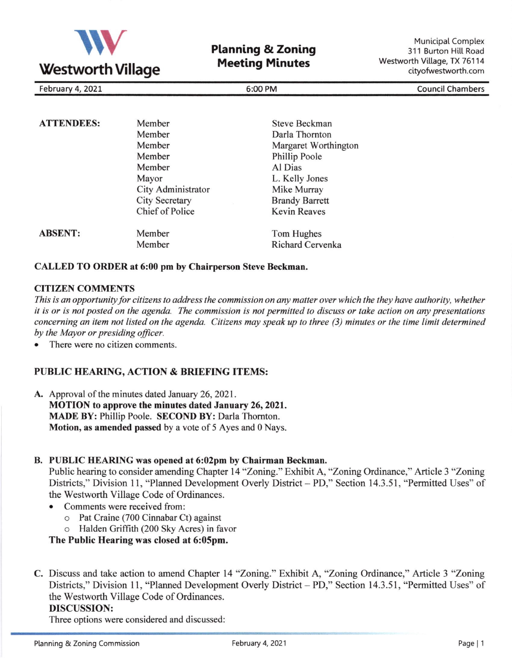

**Planning & Zoning** Meeting Minutes

**Municipal Complex** 311 Burton Hill Road Westworth Village, TX 76114 cityofwestworth.com

February 4, 2021 **6:00 PM** Council Chambers **6:00 PM** Council Chambers

| <b>ATTENDEES:</b> | Member                | <b>Steve Beckman</b>    |
|-------------------|-----------------------|-------------------------|
|                   | Member                | Darla Thornton          |
|                   | Member                | Margaret Worthington    |
|                   | Member                | Phillip Poole           |
|                   | Member                | Al Dias                 |
|                   | Mayor                 | L. Kelly Jones          |
|                   | City Administrator    | Mike Murray             |
|                   | <b>City Secretary</b> | <b>Brandy Barrett</b>   |
|                   | Chief of Police       | <b>Kevin Reaves</b>     |
| <b>ABSENT:</b>    | Member                | Tom Hughes              |
|                   | Member                | <b>Richard Cervenka</b> |

#### CALLED TO ORDER at 6:00 pm by Chairperson Steve Beckman.

### **CITIZEN COMMENTS**

This is an opportunity for citizens to address the commission on any matter over which the they have authority, whether it is or is not posted on the agenda. The commission is not permitted to discuss or take action on any presentations concerning an item not listed on the agenda. Citizens may speak up to three (3) minutes or the time limit determined by the Mayor or presiding oficer.

There were no citizen comments.

# PUBLIC HEARING, ACTION & BRIEFING ITEMS:

A. Approval of the minutes dated January 26, 2021. MOTION to approve the minutes dated January 26, 2021. MADE BY: Phillip Poole. SECOND BY: Darla Thomton. Motion, as amended passed by a vote of 5 Ayes and 0 Nays.

## B. PUBLIC HEARING was opened at 6:02pm by Chairman Beckman.

Public hearing to consider amending Chapter 14 "Zoning." Exhibit A, "Zoning Ordinance," Article 3 "Zoning Districts," Division 11, "Planned Development Overly District - PD," Section 14.3.51, "Permitted Uses" of the Westworth Village Code of Ordinances.

- Comments were received from:
	- o Pat Craine (700 Cinnabar Ct) against
	- o Halden Griffith (200 Sky Acres) in favor

The Public Hearing was closed at 6:05pm.

C. Discuss and take action to amend Chapter 14 "Zoning." Exhibit A, "Zoning Ordinance," Article 3 "Zoning Districts," Division 11, "Planned Development Overly District - PD," Section 14.3.51, "Permitted Uses" of the Westworth Village Code of Ordinances.

## DISCUSSION:

Three options were considered and discussed: